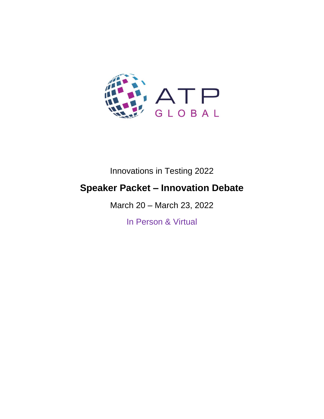

# Innovations in Testing 2022

# **Speaker Packet – Innovation Debate**

March 20 – March 23, 2022

In Person & Virtual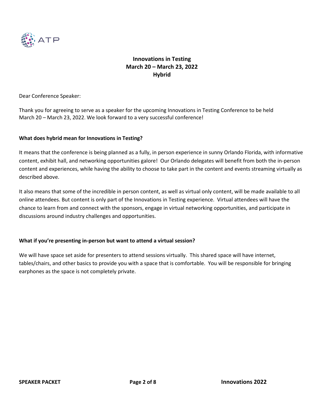

Dear Conference Speaker:

Thank you for agreeing to serve as a speaker for the upcoming Innovations in Testing Conference to be held March 20 – March 23, 2022. We look forward to a very successful conference!

## **What does hybrid mean for Innovations in Testing?**

It means that the conference is being planned as a fully, in person experience in sunny Orlando Florida, with informative content, exhibit hall, and networking opportunities galore! Our Orlando delegates will benefit from both the in-person content and experiences, while having the ability to choose to take part in the content and events streaming virtually as described above.

It also means that some of the incredible in person content, as well as virtual only content, will be made available to all online attendees. But content is only part of the Innovations in Testing experience. Virtual attendees will have the chance to learn from and connect with the sponsors, engage in virtual networking opportunities, and participate in discussions around industry challenges and opportunities.

#### **What if you're presenting in-person but want to attend a virtual session?**

We will have space set aside for presenters to attend sessions virtually. This shared space will have internet, tables/chairs, and other basics to provide you with a space that is comfortable. You will be responsible for bringing earphones as the space is not completely private.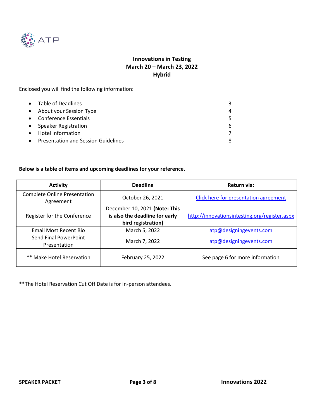

Enclosed you will find the following information:

|           | • Table of Deadlines                       |   |
|-----------|--------------------------------------------|---|
|           | • About your Session Type                  |   |
|           | • Conference Essentials                    |   |
|           | • Speaker Registration                     | 6 |
| $\bullet$ | Hotel Information                          |   |
| $\bullet$ | <b>Presentation and Session Guidelines</b> |   |

## **Below is a table of items and upcoming deadlines for your reference.**

| <b>Activity</b>                                  | <b>Deadline</b>                                                                       | Return via:                                   |
|--------------------------------------------------|---------------------------------------------------------------------------------------|-----------------------------------------------|
| <b>Complete Online Presentation</b><br>Agreement | October 26, 2021                                                                      | Click here for presentation agreement         |
| Register for the Conference                      | December 10, 2021 (Note: This<br>is also the deadline for early<br>bird registration) | http://innovationsintesting.org/register.aspx |
| <b>Email Most Recent Bio</b>                     | March 5, 2022                                                                         | atp@designingevents.com                       |
| Send Final PowerPoint<br>Presentation            | March 7, 2022                                                                         | atp@designingevents.com                       |
| ** Make Hotel Reservation                        | February 25, 2022                                                                     | See page 6 for more information               |

\*\*The Hotel Reservation Cut Off Date is for in-person attendees.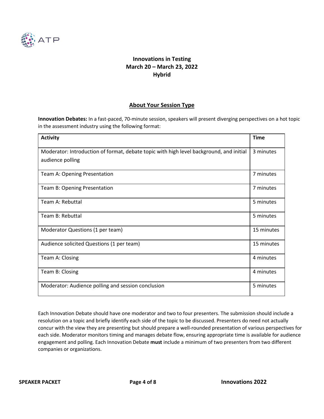

## **About Your Session Type**

**Innovation Debates:** In a fast-paced, 70-minute session, speakers will present diverging perspectives on a hot topic in the assessment industry using the following format:

| <b>Activity</b>                                                                                             | <b>Time</b> |
|-------------------------------------------------------------------------------------------------------------|-------------|
| Moderator: Introduction of format, debate topic with high level background, and initial<br>audience polling | 3 minutes   |
| Team A: Opening Presentation                                                                                | 7 minutes   |
| Team B: Opening Presentation                                                                                | 7 minutes   |
| Team A: Rebuttal                                                                                            | 5 minutes   |
| Team B: Rebuttal                                                                                            | 5 minutes   |
| Moderator Questions (1 per team)                                                                            | 15 minutes  |
| Audience solicited Questions (1 per team)                                                                   | 15 minutes  |
| Team A: Closing                                                                                             | 4 minutes   |
| Team B: Closing                                                                                             | 4 minutes   |
| Moderator: Audience polling and session conclusion                                                          | 5 minutes   |

Each Innovation Debate should have one moderator and two to four presenters. The submission should include a resolution on a topic and briefly identify each side of the topic to be discussed. Presenters do need not actually concur with the view they are presenting but should prepare a well-rounded presentation of various perspectives for each side. Moderator monitors timing and manages debate flow, ensuring appropriate time is available for audience engagement and polling. Each Innovation Debate **must** include a minimum of two presenters from two different companies or organizations.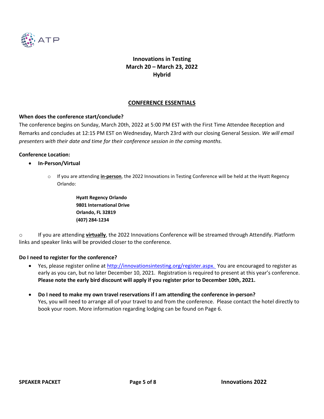

## **CONFERENCE ESSENTIALS**

#### **When does the conference start/conclude?**

The conference begins on Sunday, March 20th, 2022 at 5:00 PM EST with the First Time Attendee Reception and Remarks and concludes at 12:15 PM EST on Wednesday, March 23rd with our closing General Session. *We will email presenters with their date and time for their conference session in the coming months.* 

#### **Conference Location:**

- **In-Person/Virtual**
	- o If you are attending **in-person**, the 2022 Innovations in Testing Conference will be held at the Hyatt Regency Orlando:

**Hyatt Regency Orlando 9801 International Drive Orlando, FL 32819 (407) 284-1234**

o If you are attending **virtually**, the 2022 Innovations Conference will be streamed through Attendify. Platform links and speaker links will be provided closer to the conference.

#### **Do I need to register for the conference?**

- Yes, please register online at [http://innovationsintesting.org/register.aspx.](http://innovationsintesting.org/atp2022/register.aspx) You are encouraged to register as early as you can, but no later December 10, 2021. Registration is required to present at this year's conference. **Please note the early bird discount will apply if you register prior to December 10th, 2021.**
- **Do I need to make my own travel reservations if I am attending the conference in-person?** Yes, you will need to arrange all of your travel to and from the conference. Please contact the hotel directly to book your room. More information regarding lodging can be found on Page 6.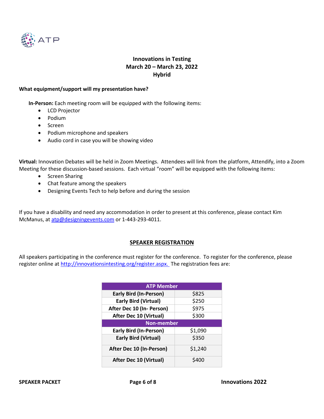

#### **What equipment/support will my presentation have?**

**In-Person:** Each meeting room will be equipped with the following items:

- LCD Projector
- Podium
- Screen
- Podium microphone and speakers
- Audio cord in case you will be showing video

**Virtual:** Innovation Debates will be held in Zoom Meetings. Attendees will link from the platform, Attendify, into a Zoom Meeting for these discussion-based sessions. Each virtual "room" will be equipped with the following items:

- Screen Sharing
- Chat feature among the speakers
- Designing Events Tech to help before and during the session

If you have a disability and need any accommodation in order to present at this conference, please contact Kim McManus, at [atp@designingevents.com](mailto:atp@designingevents.com) or 1-443-293-4011.

#### **SPEAKER REGISTRATION**

All speakers participating in the conference must register for the conference. To register for the conference, please register online a[t http://innovationsintesting.org/register.aspx. T](http://innovationsintesting.org/atp2022/register.aspx)he registration fees are:

| <b>ATP Member</b>             |         |  |  |  |
|-------------------------------|---------|--|--|--|
| <b>Early Bird (In-Person)</b> | \$825   |  |  |  |
| <b>Early Bird (Virtual)</b>   | \$250   |  |  |  |
| After Dec 10 (In- Person)     | \$975   |  |  |  |
| <b>After Dec 10 (Virtual)</b> | \$300   |  |  |  |
| <b>Non-member</b>             |         |  |  |  |
| <b>Early Bird (In-Person)</b> | \$1,090 |  |  |  |
| <b>Early Bird (Virtual)</b>   | \$350   |  |  |  |
| After Dec 10 (In-Person)      | \$1,240 |  |  |  |
| <b>After Dec 10 (Virtual)</b> | \$400   |  |  |  |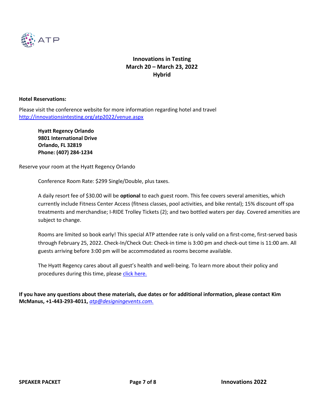

#### **Hotel Reservations:**

Please visit the conference website for more information regarding hotel and travel <http://innovationsintesting.org/atp2022/venue.aspx>

**Hyatt Regency Orlando 9801 International Drive Orlando, FL 32819 Phone: (407) 284-1234**

Reserve your room at the Hyatt Regency Orlando

Conference Room Rate: \$299 Single/Double, plus taxes.

A daily resort fee of \$30.00 will be **optional** to each guest room. This fee covers several amenities, which currently include Fitness Center Access (fitness classes, pool activities, and bike rental); 15% discount off spa treatments and merchandise; I-RIDE Trolley Tickets (2); and two bottled waters per day. Covered amenities are subject to change.

Rooms are limited so book early! This special ATP attendee rate is only valid on a first-come, first-served basis through February 25, 2022. Check-In/Check Out: Check-in time is 3:00 pm and check-out time is 11:00 am. All guests arriving before 3:00 pm will be accommodated as rooms become available.

The Hyatt Regency cares about all guest's health and well-being. To learn more about their policy and procedures during this time, please [click here.](http://innovationsintesting.org/atp2022/cleanliness-safety.aspx)

**If you have any questions about these materials, due dates or for additional information, please contact Kim McManus, +1-443-293-4011,** *[atp@designingevents.com.](mailto:atp@designingevents.com)*